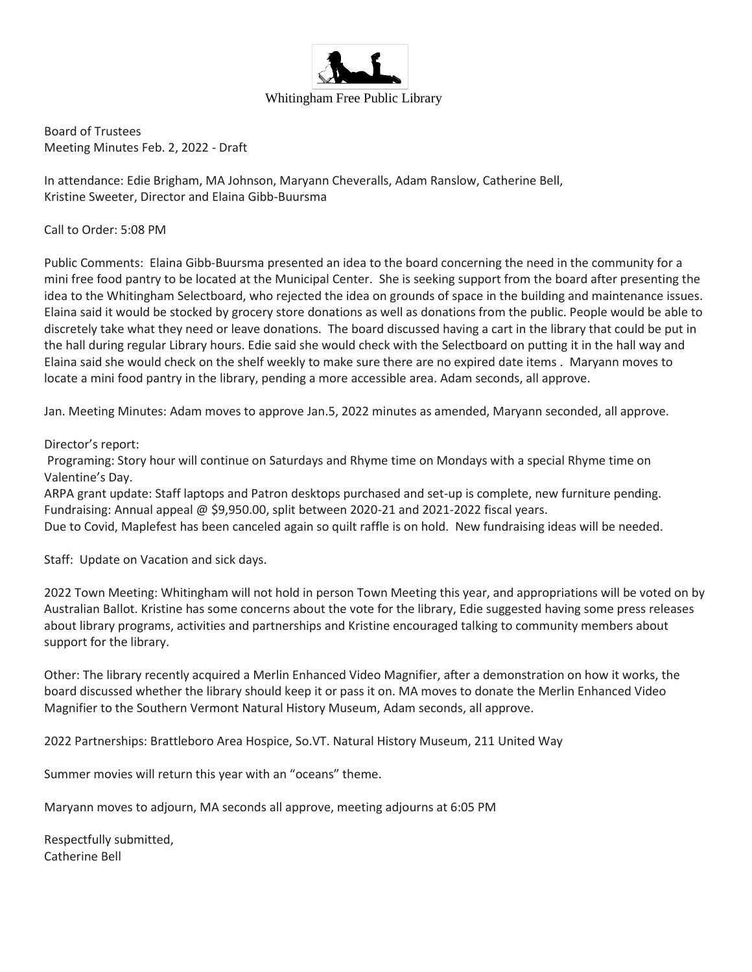

Board of Trustees Meeting Minutes Feb. 2, 2022 - Draft

In attendance: Edie Brigham, MA Johnson, Maryann Cheveralls, Adam Ranslow, Catherine Bell, Kristine Sweeter, Director and Elaina Gibb-Buursma

Call to Order: 5:08 PM

Public Comments: Elaina Gibb-Buursma presented an idea to the board concerning the need in the community for a mini free food pantry to be located at the Municipal Center. She is seeking support from the board after presenting the idea to the Whitingham Selectboard, who rejected the idea on grounds of space in the building and maintenance issues. Elaina said it would be stocked by grocery store donations as well as donations from the public. People would be able to discretely take what they need or leave donations. The board discussed having a cart in the library that could be put in the hall during regular Library hours. Edie said she would check with the Selectboard on putting it in the hall way and Elaina said she would check on the shelf weekly to make sure there are no expired date items . Maryann moves to locate a mini food pantry in the library, pending a more accessible area. Adam seconds, all approve.

Jan. Meeting Minutes: Adam moves to approve Jan.5, 2022 minutes as amended, Maryann seconded, all approve.

#### Director's report:

Programing: Story hour will continue on Saturdays and Rhyme time on Mondays with a special Rhyme time on Valentine's Day.

ARPA grant update: Staff laptops and Patron desktops purchased and set-up is complete, new furniture pending. Fundraising: Annual appeal @ \$9,950.00, split between 2020-21 and 2021-2022 fiscal years. Due to Covid, Maplefest has been canceled again so quilt raffle is on hold. New fundraising ideas will be needed.

Staff: Update on Vacation and sick days.

2022 Town Meeting: Whitingham will not hold in person Town Meeting this year, and appropriations will be voted on by Australian Ballot. Kristine has some concerns about the vote for the library, Edie suggested having some press releases about library programs, activities and partnerships and Kristine encouraged talking to community members about support for the library.

Other: The library recently acquired a Merlin Enhanced Video Magnifier, after a demonstration on how it works, the board discussed whether the library should keep it or pass it on. MA moves to donate the Merlin Enhanced Video Magnifier to the Southern Vermont Natural History Museum, Adam seconds, all approve.

2022 Partnerships: Brattleboro Area Hospice, So.VT. Natural History Museum, 211 United Way

Summer movies will return this year with an "oceans" theme.

Maryann moves to adjourn, MA seconds all approve, meeting adjourns at 6:05 PM

Respectfully submitted, Catherine Bell